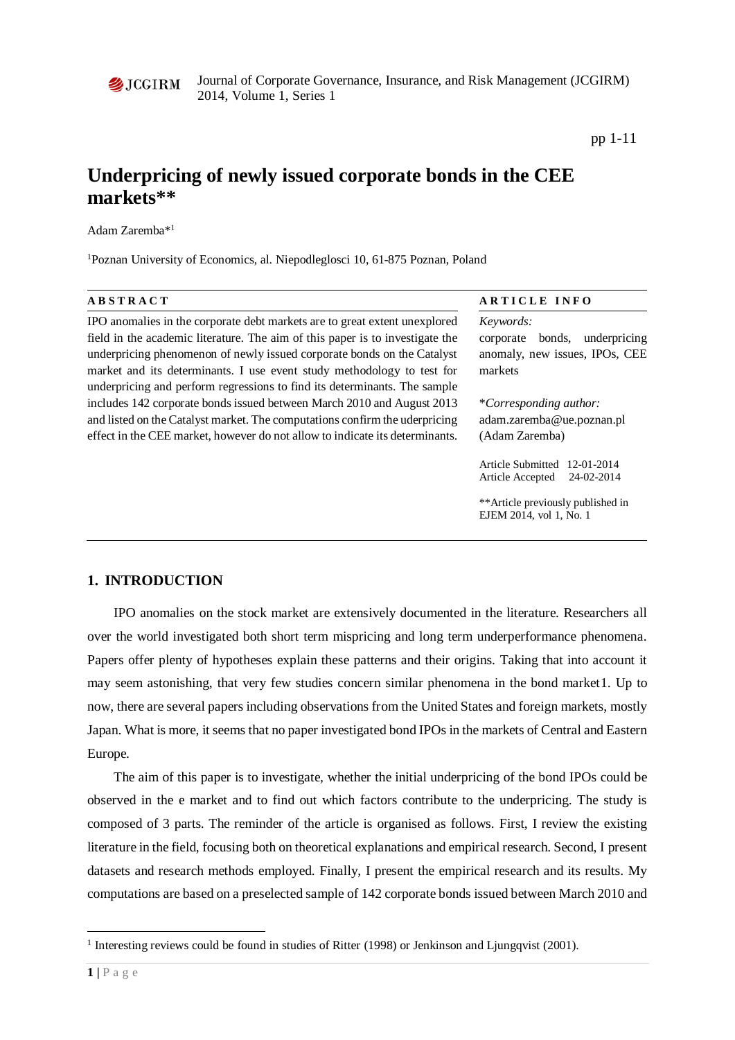

Journal of Corporate Governance, Insurance, and Risk Management (JCGIRM) 2014, Volume 1, Series 1

pp 1-11

# **Underpricing of newly issued corporate bonds in the CEE markets\*\***

Adam Zaremba\*1

<sup>1</sup>Poznan University of Economics, al. Niepodleglosci 10, 61-875 Poznan, Poland

| <b>ABSTRACT</b>                                                                                                                                                                                                                                                                                                                                                                               | ARTICLE INFO                                                                                                                      |  |  |  |
|-----------------------------------------------------------------------------------------------------------------------------------------------------------------------------------------------------------------------------------------------------------------------------------------------------------------------------------------------------------------------------------------------|-----------------------------------------------------------------------------------------------------------------------------------|--|--|--|
| IPO anomalies in the corporate debt markets are to great extent unexplored<br>field in the academic literature. The aim of this paper is to investigate the<br>underpricing phenomenon of newly issued corporate bonds on the Catalyst<br>market and its determinants. I use event study methodology to test for<br>underpricing and perform regressions to find its determinants. The sample | Keywords:<br>underpricing<br>corporate<br>bonds,<br>anomaly, new issues, IPOs, CEE<br>markets                                     |  |  |  |
| includes 142 corporate bonds issued between March 2010 and August 2013<br>and listed on the Catalyst market. The computations confirm the uderpricing<br>effect in the CEE market, however do not allow to indicate its determinants.                                                                                                                                                         | <i>*Corresponding author:</i><br>adam.zaremba@ue.poznan.pl<br>(Adam Zaremba)                                                      |  |  |  |
|                                                                                                                                                                                                                                                                                                                                                                                               | Article Submitted<br>12-01-2014<br>24-02-2014<br>Article Accepted<br>**Article previously published in<br>EJEM 2014, vol 1, No. 1 |  |  |  |
|                                                                                                                                                                                                                                                                                                                                                                                               |                                                                                                                                   |  |  |  |

### **1. INTRODUCTION**

IPO anomalies on the stock market are extensively documented in the literature. Researchers all over the world investigated both short term mispricing and long term underperformance phenomena. Papers offer plenty of hypotheses explain these patterns and their origins. Taking that into account it may seem astonishing, that very few studies concern similar phenomena in the bond market[1](#page-0-0). Up to now, there are several papers including observations from the United States and foreign markets, mostly Japan. What is more, it seems that no paper investigated bond IPOs in the markets of Central and Eastern Europe.

The aim of this paper is to investigate, whether the initial underpricing of the bond IPOs could be observed in the e market and to find out which factors contribute to the underpricing. The study is composed of 3 parts. The reminder of the article is organised as follows. First, I review the existing literature in the field, focusing both on theoretical explanations and empirical research. Second, I present datasets and research methods employed. Finally, I present the empirical research and its results. My computations are based on a preselected sample of 142 corporate bonds issued between March 2010 and

 $\overline{a}$ 

<span id="page-0-0"></span><sup>&</sup>lt;sup>1</sup> Interesting reviews could be found in studies of Ritter (1998) or Jenkinson and Ljungqvist (2001).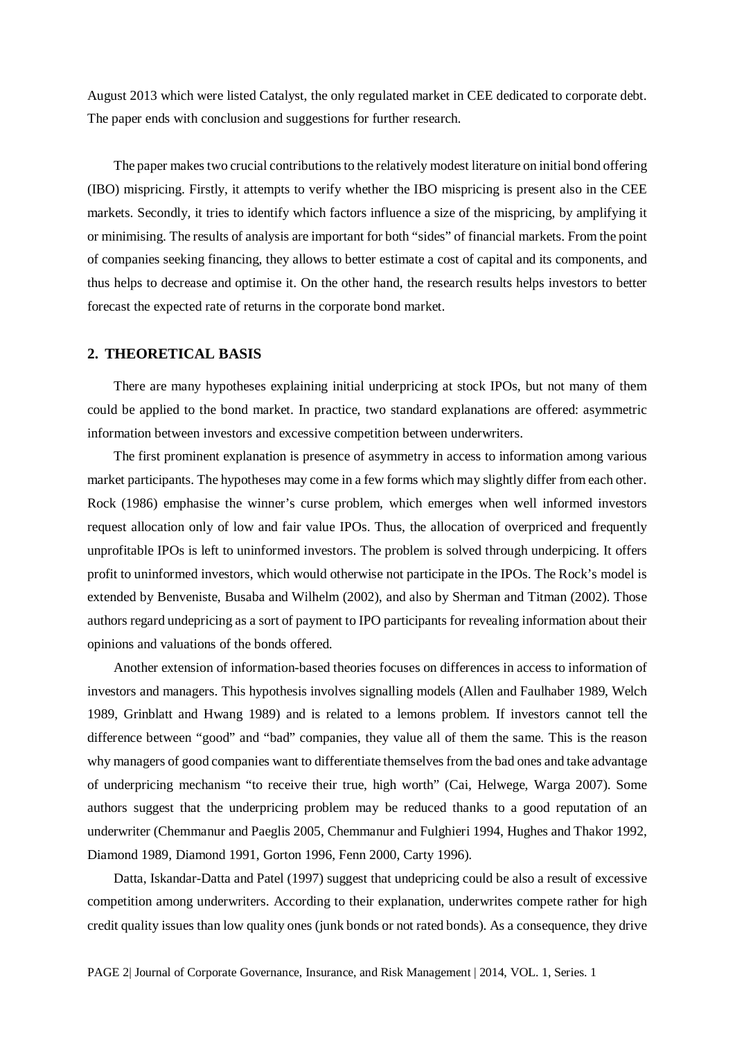August 2013 which were listed Catalyst, the only regulated market in CEE dedicated to corporate debt. The paper ends with conclusion and suggestions for further research.

The paper makes two crucial contributions to the relatively modest literature on initial bond offering (IBO) mispricing. Firstly, it attempts to verify whether the IBO mispricing is present also in the CEE markets. Secondly, it tries to identify which factors influence a size of the mispricing, by amplifying it or minimising. The results of analysis are important for both "sides" of financial markets. From the point of companies seeking financing, they allows to better estimate a cost of capital and its components, and thus helps to decrease and optimise it. On the other hand, the research results helps investors to better forecast the expected rate of returns in the corporate bond market.

#### **2. THEORETICAL BASIS**

There are many hypotheses explaining initial underpricing at stock IPOs, but not many of them could be applied to the bond market. In practice, two standard explanations are offered: asymmetric information between investors and excessive competition between underwriters.

The first prominent explanation is presence of asymmetry in access to information among various market participants. The hypotheses may come in a few forms which may slightly differ from each other. Rock (1986) emphasise the winner's curse problem, which emerges when well informed investors request allocation only of low and fair value IPOs. Thus, the allocation of overpriced and frequently unprofitable IPOs is left to uninformed investors. The problem is solved through underpicing. It offers profit to uninformed investors, which would otherwise not participate in the IPOs. The Rock's model is extended by Benveniste, Busaba and Wilhelm (2002), and also by Sherman and Titman (2002). Those authors regard undepricing as a sort of payment to IPO participants for revealing information about their opinions and valuations of the bonds offered.

Another extension of information-based theories focuses on differences in access to information of investors and managers. This hypothesis involves signalling models (Allen and Faulhaber 1989, Welch 1989, Grinblatt and Hwang 1989) and is related to a lemons problem. If investors cannot tell the difference between "good" and "bad" companies, they value all of them the same. This is the reason why managers of good companies want to differentiate themselves from the bad ones and take advantage of underpricing mechanism "to receive their true, high worth" (Cai, Helwege, Warga 2007). Some authors suggest that the underpricing problem may be reduced thanks to a good reputation of an underwriter (Chemmanur and Paeglis 2005, Chemmanur and Fulghieri 1994, Hughes and Thakor 1992, Diamond 1989, Diamond 1991, Gorton 1996, Fenn 2000, Carty 1996).

Datta, Iskandar-Datta and Patel (1997) suggest that undepricing could be also a result of excessive competition among underwriters. According to their explanation, underwrites compete rather for high credit quality issues than low quality ones (junk bonds or not rated bonds). As a consequence, they drive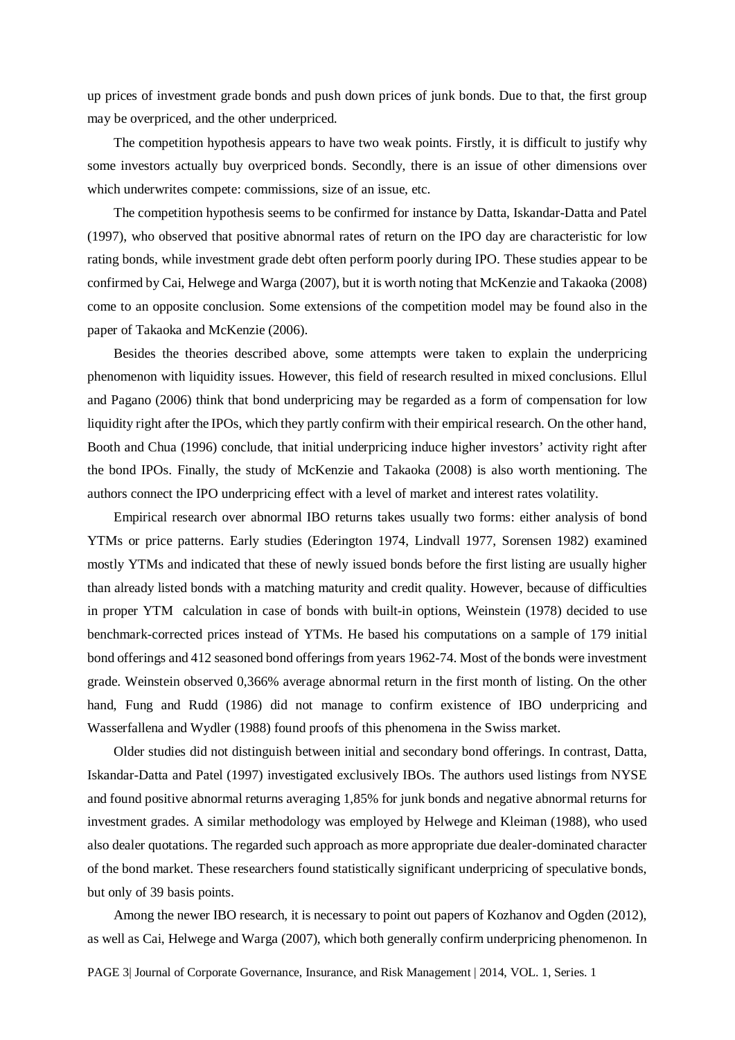up prices of investment grade bonds and push down prices of junk bonds. Due to that, the first group may be overpriced, and the other underpriced.

The competition hypothesis appears to have two weak points. Firstly, it is difficult to justify why some investors actually buy overpriced bonds. Secondly, there is an issue of other dimensions over which underwrites compete: commissions, size of an issue, etc.

The competition hypothesis seems to be confirmed for instance by Datta, Iskandar-Datta and Patel (1997), who observed that positive abnormal rates of return on the IPO day are characteristic for low rating bonds, while investment grade debt often perform poorly during IPO. These studies appear to be confirmed by Cai, Helwege and Warga (2007), but it is worth noting that McKenzie and Takaoka (2008) come to an opposite conclusion. Some extensions of the competition model may be found also in the paper of Takaoka and McKenzie (2006).

Besides the theories described above, some attempts were taken to explain the underpricing phenomenon with liquidity issues. However, this field of research resulted in mixed conclusions. Ellul and Pagano (2006) think that bond underpricing may be regarded as a form of compensation for low liquidity right after the IPOs, which they partly confirm with their empirical research. On the other hand, Booth and Chua (1996) conclude, that initial underpricing induce higher investors' activity right after the bond IPOs. Finally, the study of McKenzie and Takaoka (2008) is also worth mentioning. The authors connect the IPO underpricing effect with a level of market and interest rates volatility.

Empirical research over abnormal IBO returns takes usually two forms: either analysis of bond YTMs or price patterns. Early studies (Ederington 1974, Lindvall 1977, Sorensen 1982) examined mostly YTMs and indicated that these of newly issued bonds before the first listing are usually higher than already listed bonds with a matching maturity and credit quality. However, because of difficulties in proper YTM calculation in case of bonds with built-in options, Weinstein (1978) decided to use benchmark-corrected prices instead of YTMs. He based his computations on a sample of 179 initial bond offerings and 412 seasoned bond offerings from years 1962-74. Most of the bonds were investment grade. Weinstein observed 0,366% average abnormal return in the first month of listing. On the other hand, Fung and Rudd (1986) did not manage to confirm existence of IBO underpricing and Wasserfallena and Wydler (1988) found proofs of this phenomena in the Swiss market.

Older studies did not distinguish between initial and secondary bond offerings. In contrast, Datta, Iskandar-Datta and Patel (1997) investigated exclusively IBOs. The authors used listings from NYSE and found positive abnormal returns averaging 1,85% for junk bonds and negative abnormal returns for investment grades. A similar methodology was employed by Helwege and Kleiman (1988), who used also dealer quotations. The regarded such approach as more appropriate due dealer-dominated character of the bond market. These researchers found statistically significant underpricing of speculative bonds, but only of 39 basis points.

Among the newer IBO research, it is necessary to point out papers of Kozhanov and Ogden (2012), as well as Cai, Helwege and Warga (2007), which both generally confirm underpricing phenomenon. In

PAGE 3| Journal of Corporate Governance, Insurance, and Risk Management | 2014, VOL. 1, Series. 1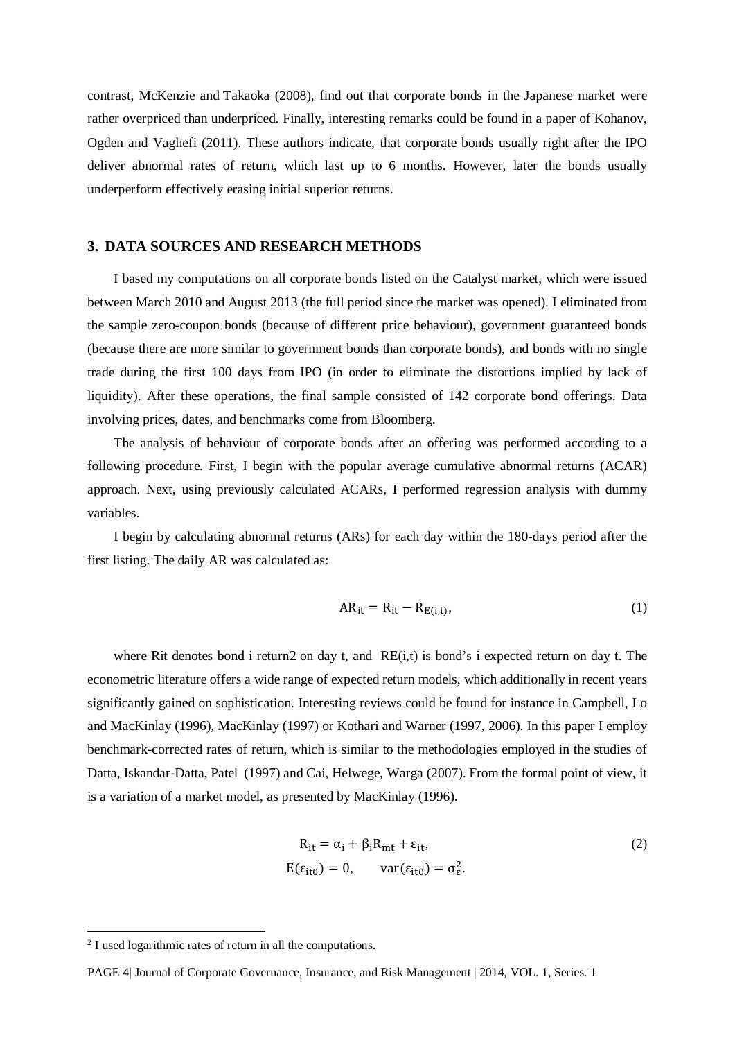contrast, McKenzie and Takaoka (2008), find out that corporate bonds in the Japanese market were rather overpriced than underpriced. Finally, interesting remarks could be found in a paper of Kohanov, Ogden and Vaghefi (2011). These authors indicate, that corporate bonds usually right after the IPO deliver abnormal rates of return, which last up to 6 months. However, later the bonds usually underperform effectively erasing initial superior returns.

#### **3. DATA SOURCES AND RESEARCH METHODS**

I based my computations on all corporate bonds listed on the Catalyst market, which were issued between March 2010 and August 2013 (the full period since the market was opened). I eliminated from the sample zero-coupon bonds (because of different price behaviour), government guaranteed bonds (because there are more similar to government bonds than corporate bonds), and bonds with no single trade during the first 100 days from IPO (in order to eliminate the distortions implied by lack of liquidity). After these operations, the final sample consisted of 142 corporate bond offerings. Data involving prices, dates, and benchmarks come from Bloomberg.

The analysis of behaviour of corporate bonds after an offering was performed according to a following procedure. First, I begin with the popular average cumulative abnormal returns (ACAR) approach. Next, using previously calculated ACARs, I performed regression analysis with dummy variables.

I begin by calculating abnormal returns (ARs) for each day within the 180-days period after the first listing. The daily AR was calculated as:

$$
AR_{it} = R_{it} - R_{E(i,t)},
$$
\n<sup>(1)</sup>

where Rit denotes bond i return[2](#page-3-0) on day t, and RE(i,t) is bond's i expected return on day t. The econometric literature offers a wide range of expected return models, which additionally in recent years significantly gained on sophistication. Interesting reviews could be found for instance in Campbell, Lo and MacKinlay (1996), MacKinlay (1997) or Kothari and Warner (1997, 2006). In this paper I employ benchmark-corrected rates of return, which is similar to the methodologies employed in the studies of Datta, Iskandar-Datta, Patel (1997) and Cai, Helwege, Warga (2007). From the formal point of view, it is a variation of a market model, as presented by MacKinlay (1996).

$$
R_{it} = \alpha_i + \beta_i R_{mt} + \varepsilon_{it},
$$
  
\n
$$
E(\varepsilon_{it0}) = 0, \quad var(\varepsilon_{it0}) = \sigma_{\varepsilon}^2.
$$
\n(2)

 $\overline{a}$ 

<span id="page-3-0"></span><sup>&</sup>lt;sup>2</sup> I used logarithmic rates of return in all the computations.

PAGE 4| Journal of Corporate Governance, Insurance, and Risk Management | 2014, VOL. 1, Series. 1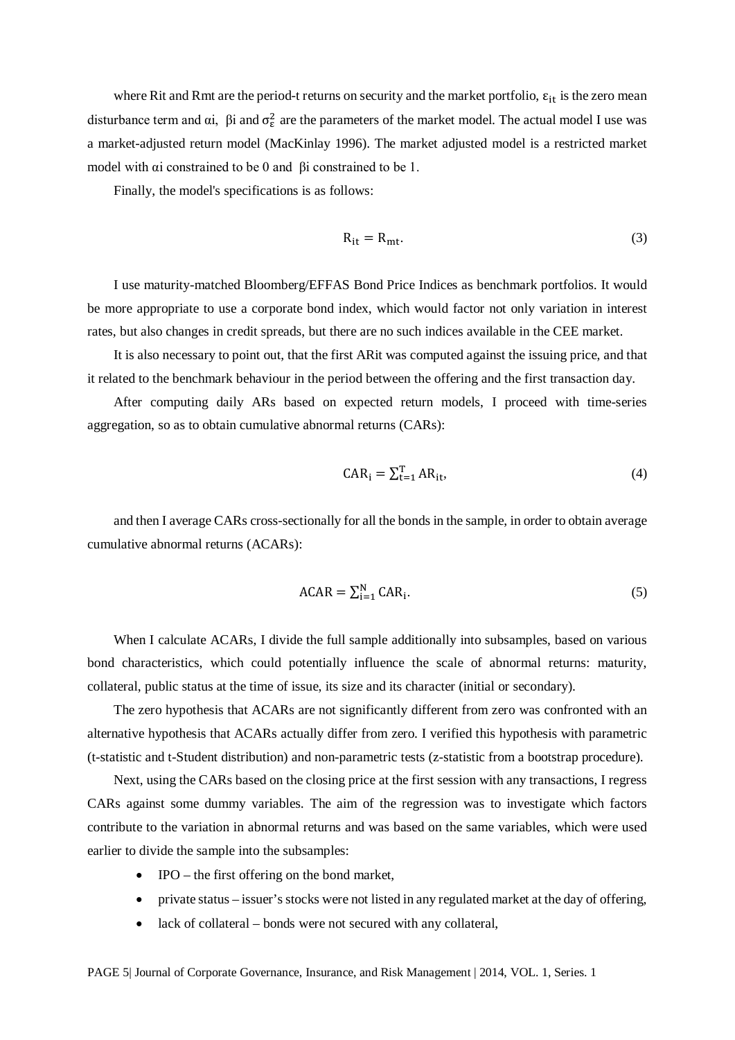where Rit and Rmt are the period-t returns on security and the market portfolio,  $\varepsilon_{it}$  is the zero mean disturbance term and  $\alpha i$ ,  $\beta i$  and  $\sigma_{\epsilon}^2$  are the parameters of the market model. The actual model I use was a market-adjusted return model (MacKinlay 1996). The market adjusted model is a restricted market model with αi constrained to be 0 and βi constrained to be 1.

Finally, the model's specifications is as follows:

$$
R_{it} = R_{mt}.
$$
 (3)

I use maturity-matched Bloomberg/EFFAS Bond Price Indices as benchmark portfolios. It would be more appropriate to use a corporate bond index, which would factor not only variation in interest rates, but also changes in credit spreads, but there are no such indices available in the CEE market.

It is also necessary to point out, that the first ARit was computed against the issuing price, and that it related to the benchmark behaviour in the period between the offering and the first transaction day.

After computing daily ARs based on expected return models, I proceed with time-series aggregation, so as to obtain cumulative abnormal returns (CARs):

$$
CAR_i = \sum_{t=1}^{T} AR_{it},
$$
\n(4)

and then I average CARs cross-sectionally for all the bonds in the sample, in order to obtain average cumulative abnormal returns (ACARs):

$$
ACAR = \sum_{i=1}^{N} CAR_i.
$$
 (5)

When I calculate ACARs, I divide the full sample additionally into subsamples, based on various bond characteristics, which could potentially influence the scale of abnormal returns: maturity, collateral, public status at the time of issue, its size and its character (initial or secondary).

The zero hypothesis that ACARs are not significantly different from zero was confronted with an alternative hypothesis that ACARs actually differ from zero. I verified this hypothesis with parametric (t-statistic and t-Student distribution) and non-parametric tests (z-statistic from a bootstrap procedure).

Next, using the CARs based on the closing price at the first session with any transactions, I regress CARs against some dummy variables. The aim of the regression was to investigate which factors contribute to the variation in abnormal returns and was based on the same variables, which were used earlier to divide the sample into the subsamples:

- IPO the first offering on the bond market,
- private status issuer's stocks were not listed in any regulated market at the day of offering,
- lack of collateral bonds were not secured with any collateral,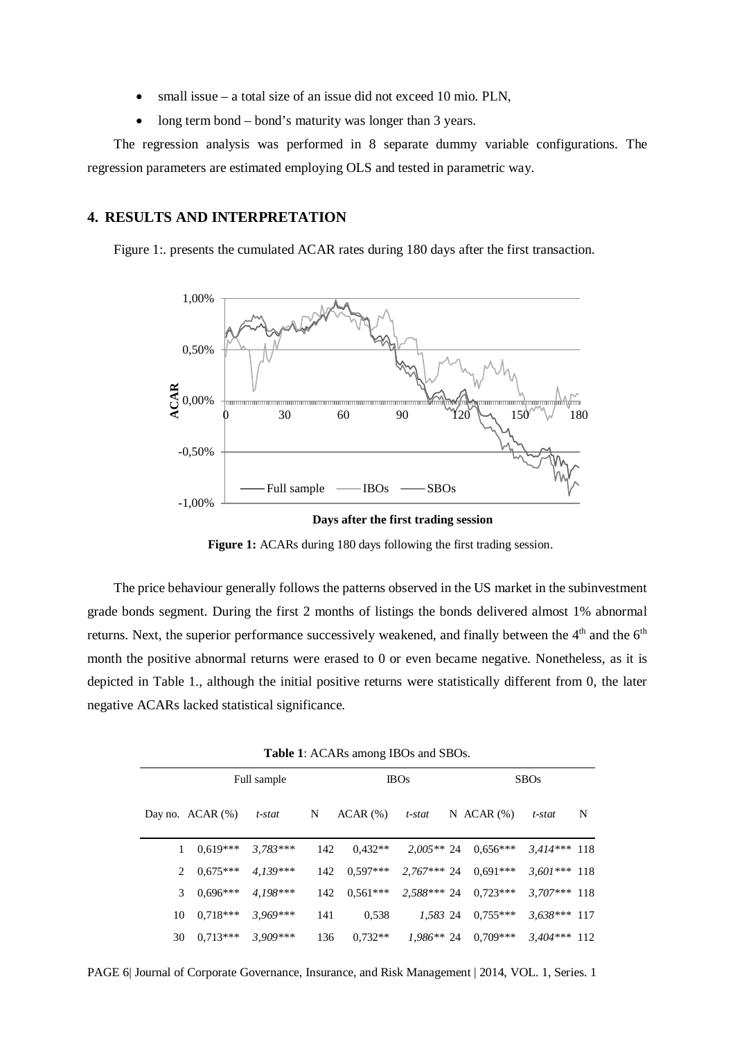- small issue  $-$  a total size of an issue did not exceed 10 mio. PLN,
- long term bond bond's maturity was longer than 3 years.

The regression analysis was performed in 8 separate dummy variable configurations. The regression parameters are estimated employing OLS and tested in parametric way.

## **4. RESULTS AND INTERPRETATION**

Figure 1:. presents the cumulated ACAR rates during 180 days after the first transaction.



**Figure 1:** ACARs during 180 days following the first trading session.

The price behaviour generally follows the patterns observed in the US market in the subinvestment grade bonds segment. During the first 2 months of listings the bonds delivered almost 1% abnormal returns. Next, the superior performance successively weakened, and finally between the  $4<sup>th</sup>$  and the  $6<sup>th</sup>$ month the positive abnormal returns were erased to 0 or even became negative. Nonetheless, as it is depicted in Table 1., although the initial positive returns were statistically different from 0, the later negative ACARs lacked statistical significance.

| Full sample |    |                       |            | <b>IBOs</b> |                      |             | <b>SBOs</b> |                                 |                |   |
|-------------|----|-----------------------|------------|-------------|----------------------|-------------|-------------|---------------------------------|----------------|---|
|             |    | Day no. $ACAR$ $(\%)$ | t-stat     | N           | $ACAR$ $%$           | t-stat      |             | N ACAR $(\%)$                   | t-stat         | N |
|             |    | $0.619***$            | $3.783***$ | 142         | $0.432**$            |             |             | $2,005**$ 24 $0,656***$         | $3,414***$ 118 |   |
|             |    | $2\quad 0.675***$     | $4.139***$ |             | $142 \quad 0.597***$ |             |             | $2,767***$ 24 0.691***          | $3,601***$ 118 |   |
|             | 3  | $0.696***$            | $4.198***$ | 142         |                      |             |             | $0.561***$ 2.588*** 24 0.723*** | $3.707***$ 118 |   |
|             | 10 | $0,718***$            | $3.969***$ | 141         | 0.538                | 1,583 24    |             | $0.755***$                      | $3,638***117$  |   |
|             | 30 | $0.713***$            | $3,909***$ | 136         | $0.732**$            | $1.986**24$ |             | $0.709***$                      | $3.404***$ 112 |   |

PAGE 6| Journal of Corporate Governance, Insurance, and Risk Management | 2014, VOL. 1, Series. 1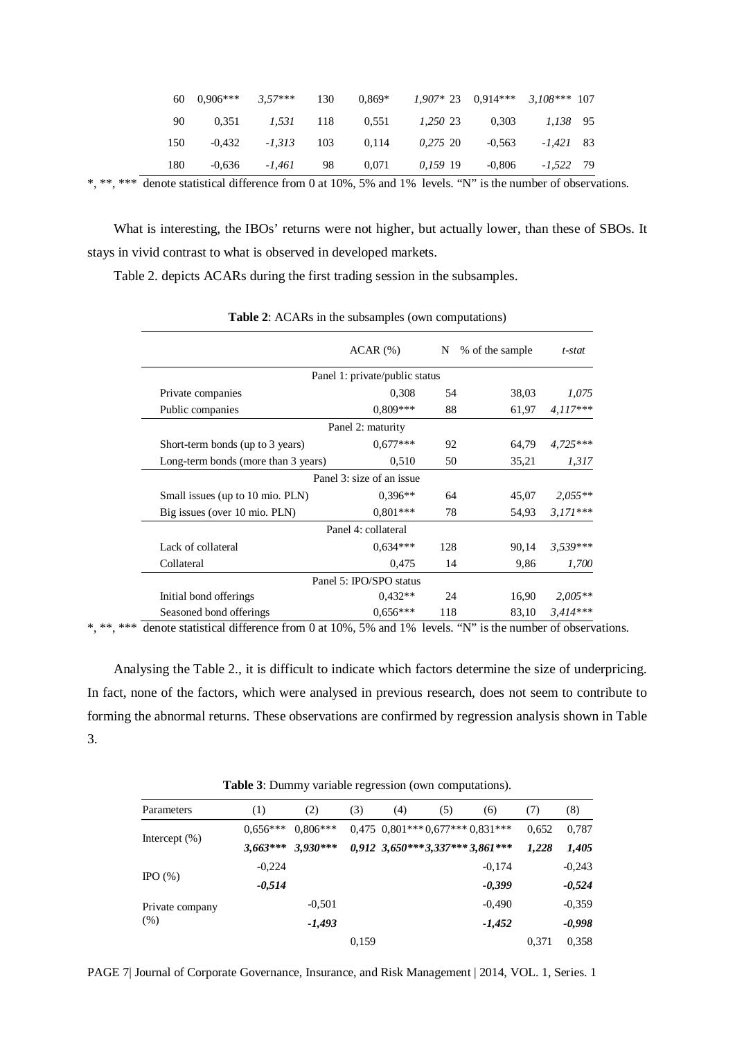|     |  |  |  | 60 $0.906***$ 3.57*** 130 $0.869*$ 1.907* 23 0.914*** 3.108*** 107 |
|-----|--|--|--|--------------------------------------------------------------------|
| 90  |  |  |  | $0.351$ $1.531$ $118$ $0.551$ $1.250$ $23$ $0.303$ $1.138$ $95$    |
| 150 |  |  |  | $-0.432$ $-1.313$ 103 0.114 0.275 20 $-0.563$ $-1.421$ 83          |
| 180 |  |  |  | $-0.636$ $-1.461$ 98 0.071 0.159 19 $-0.806$ $-1.522$ 79           |

\*, \*\*, \*\*\* denote statistical difference from 0 at 10%, 5% and 1% levels. "N" is the number of observations.

What is interesting, the IBOs' returns were not higher, but actually lower, than these of SBOs. It stays in vivid contrast to what is observed in developed markets.

Table 2. depicts ACARs during the first trading session in the subsamples.

|                                     | $ACAR$ $(\% )$            |     | % of the sample | $t$ -stat  |  |  |  |  |
|-------------------------------------|---------------------------|-----|-----------------|------------|--|--|--|--|
| Panel 1: private/public status      |                           |     |                 |            |  |  |  |  |
| Private companies                   | 0,308                     | 54  | 38,03           | 1,075      |  |  |  |  |
| Public companies                    | $0.809***$                | 88  | 61,97           | $4.117***$ |  |  |  |  |
|                                     | Panel 2: maturity         |     |                 |            |  |  |  |  |
| Short-term bonds (up to 3 years)    | $0.677***$                | 92  | 64,79           | $4,725***$ |  |  |  |  |
| Long-term bonds (more than 3 years) | 0,510                     | 50  | 35,21           | 1,317      |  |  |  |  |
|                                     | Panel 3: size of an issue |     |                 |            |  |  |  |  |
| Small issues (up to 10 mio. PLN)    | $0.396**$                 | 64  | 45,07           | $2,055**$  |  |  |  |  |
| Big issues (over 10 mio. PLN)       | $0.801***$                | 78  | 54,93           | $3,171***$ |  |  |  |  |
|                                     | Panel 4: collateral       |     |                 |            |  |  |  |  |
| Lack of collateral                  | $0.634***$                | 128 | 90,14           | $3.539***$ |  |  |  |  |
| Collateral                          | 0,475                     | 14  | 9,86            | 1,700      |  |  |  |  |
|                                     | Panel 5: IPO/SPO status   |     |                 |            |  |  |  |  |
| Initial bond offerings              | $0.432**$                 | 24  | 16,90           | $2,005**$  |  |  |  |  |
| Seasoned bond offerings             | $0.656***$                | 118 | 83,10           | $3,414***$ |  |  |  |  |

**Table 2**: ACARs in the subsamples (own computations)

\*, \*\*, \*\*\* denote statistical difference from 0 at 10%, 5% and 1% levels. "N" is the number of observations.

Analysing the Table 2., it is difficult to indicate which factors determine the size of underpricing. In fact, none of the factors, which were analysed in previous research, does not seem to contribute to forming the abnormal returns. These observations are confirmed by regression analysis shown in Table 3.

**Table 3**: Dummy variable regression (own computations).

| Parameters       | (1)        | (2)        | (3)   | (4) | (5) | (6)                                | (7)   | (8)      |
|------------------|------------|------------|-------|-----|-----|------------------------------------|-------|----------|
|                  | $0.656***$ | $0.806***$ |       |     |     | $0,475$ $0,801***0,677***0,831***$ | 0,652 | 0,787    |
| Intercept $(\%)$ | $3,663***$ | $3,930***$ |       |     |     | 0,912 3,650*** 3,337*** 3,861***   | 1,228 | 1,405    |
|                  | $-0,224$   |            |       |     |     | $-0,174$                           |       | $-0,243$ |
| IPO $(\%)$       | $-0,514$   |            |       |     |     | $-0,399$                           |       | $-0,524$ |
| Private company  |            | $-0,501$   |       |     |     | $-0.490$                           |       | $-0,359$ |
| (%)              |            | $-1,493$   |       |     |     | $-1,452$                           |       | $-0,998$ |
|                  |            |            | 0,159 |     |     |                                    | 0.371 | 0,358    |

PAGE 7| Journal of Corporate Governance, Insurance, and Risk Management | 2014, VOL. 1, Series. 1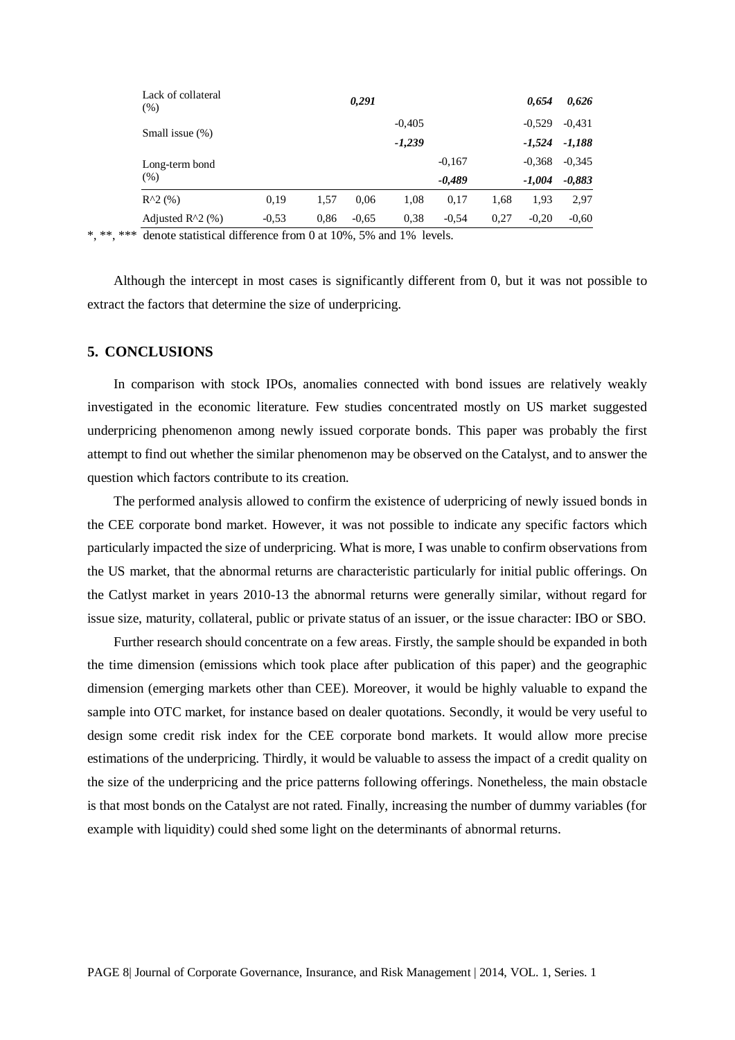| Lack of collateral<br>$(\% )$ |         |      | 0,291    |          |          |      | 0,654    | 0,626    |
|-------------------------------|---------|------|----------|----------|----------|------|----------|----------|
| Small issue (%)               |         |      | $-0.405$ |          |          |      | $-0.431$ |          |
|                               |         |      |          | $-1,239$ |          |      | $-1,524$ | $-1,188$ |
| Long-term bond                |         |      |          |          | $-0.167$ |      | $-0.368$ | $-0.345$ |
| $(\%)$                        |         |      |          |          | $-0,489$ |      | $-1,004$ | $-0,883$ |
| $R^{2}(%)$                    | 0,19    | 1,57 | 0,06     | 1,08     | 0.17     | 1,68 | 1,93     | 2,97     |
| Adjusted $R^2(%)$             | $-0.53$ | 0.86 | $-0.65$  | 0.38     | $-0.54$  | 0.27 | $-0.20$  | $-0.60$  |

\*, \*\*, \*\*\* denote statistical difference from 0 at 10%, 5% and 1% levels.

Although the intercept in most cases is significantly different from 0, but it was not possible to extract the factors that determine the size of underpricing.

#### **5. CONCLUSIONS**

In comparison with stock IPOs, anomalies connected with bond issues are relatively weakly investigated in the economic literature. Few studies concentrated mostly on US market suggested underpricing phenomenon among newly issued corporate bonds. This paper was probably the first attempt to find out whether the similar phenomenon may be observed on the Catalyst, and to answer the question which factors contribute to its creation.

The performed analysis allowed to confirm the existence of uderpricing of newly issued bonds in the CEE corporate bond market. However, it was not possible to indicate any specific factors which particularly impacted the size of underpricing. What is more, I was unable to confirm observations from the US market, that the abnormal returns are characteristic particularly for initial public offerings. On the Catlyst market in years 2010-13 the abnormal returns were generally similar, without regard for issue size, maturity, collateral, public or private status of an issuer, or the issue character: IBO or SBO.

Further research should concentrate on a few areas. Firstly, the sample should be expanded in both the time dimension (emissions which took place after publication of this paper) and the geographic dimension (emerging markets other than CEE). Moreover, it would be highly valuable to expand the sample into OTC market, for instance based on dealer quotations. Secondly, it would be very useful to design some credit risk index for the CEE corporate bond markets. It would allow more precise estimations of the underpricing. Thirdly, it would be valuable to assess the impact of a credit quality on the size of the underpricing and the price patterns following offerings. Nonetheless, the main obstacle is that most bonds on the Catalyst are not rated. Finally, increasing the number of dummy variables (for example with liquidity) could shed some light on the determinants of abnormal returns.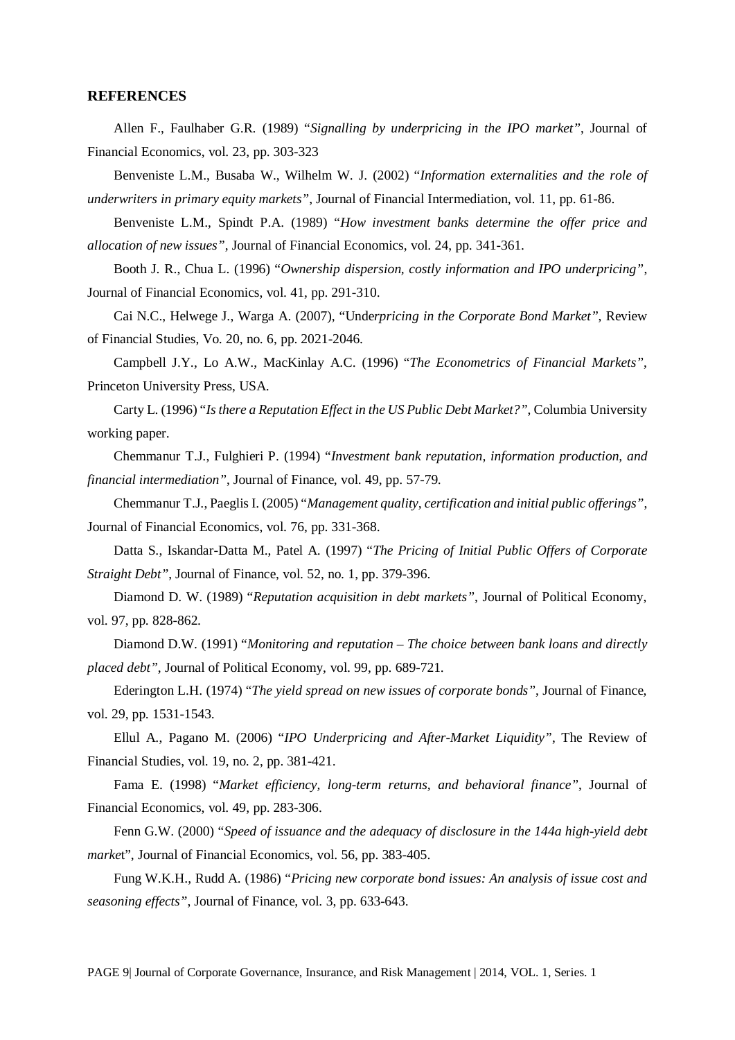#### **REFERENCES**

Allen F., Faulhaber G.R. (1989) "*Signalling by underpricing in the IPO market"*, Journal of Financial Economics, vol. 23, pp. 303-323

Benveniste L.M., Busaba W., Wilhelm W. J. (2002) "*Information externalities and the role of underwriters in primary equity markets"*, Journal of Financial Intermediation, vol. 11, pp. 61-86.

Benveniste L.M., Spindt P.A. (1989) "*How investment banks determine the offer price and allocation of new issues"*, Journal of Financial Economics, vol. 24, pp. 341-361.

Booth J. R., Chua L. (1996) "*Ownership dispersion, costly information and IPO underpricing"*, Journal of Financial Economics, vol. 41, pp. 291-310.

Cai N.C., Helwege J., Warga A. (2007), "Unde*rpricing in the Corporate Bond Market"*, Review of Financial Studies, Vo. 20, no. 6, pp. 2021-2046.

Campbell J.Y., Lo A.W., MacKinlay A.C. (1996) "*The Econometrics of Financial Markets"*, Princeton University Press, USA.

Carty L. (1996) "*Is there a Reputation Effect in the US Public Debt Market?"*, Columbia University working paper.

Chemmanur T.J., Fulghieri P. (1994) "*Investment bank reputation, information production, and financial intermediation"*, Journal of Finance, vol. 49, pp. 57-79.

Chemmanur T.J., Paeglis I. (2005) "*Management quality, certification and initial public offerings"*, Journal of Financial Economics, vol. 76, pp. 331-368.

Datta S., Iskandar-Datta M., Patel A. (1997) "*The Pricing of Initial Public Offers of Corporate Straight Debt"*, Journal of Finance, vol. 52, no. 1, pp. 379-396.

Diamond D. W. (1989) "*Reputation acquisition in debt markets"*, Journal of Political Economy, vol. 97, pp. 828-862.

Diamond D.W. (1991) "*Monitoring and reputation – The choice between bank loans and directly placed debt"*, Journal of Political Economy, vol. 99, pp. 689-721.

Ederington L.H. (1974) "*The yield spread on new issues of corporate bonds"*, Journal of Finance, vol. 29, pp. 1531-1543.

Ellul A., Pagano M. (2006) "*IPO Underpricing and After-Market Liquidity"*, The Review of Financial Studies, vol. 19, no. 2, pp. 381-421.

Fama E. (1998) "*Market efficiency, long-term returns, and behavioral finance"*, Journal of Financial Economics, vol. 49, pp. 283-306.

Fenn G.W. (2000) "*Speed of issuance and the adequacy of disclosure in the 144a high-yield debt marke*t", Journal of Financial Economics, vol. 56, pp. 383-405.

Fung W.K.H., Rudd A. (1986) "*Pricing new corporate bond issues: An analysis of issue cost and seasoning effects"*, Journal of Finance, vol. 3, pp. 633-643.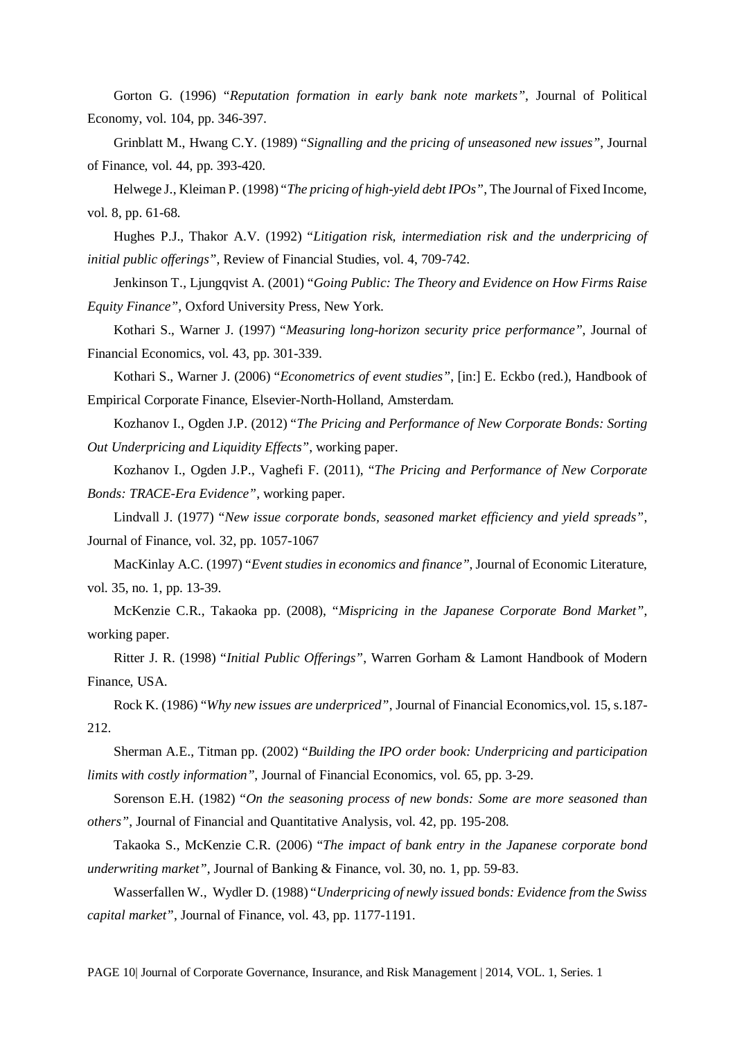Gorton G. (1996) "*Reputation formation in early bank note markets"*, Journal of Political Economy, vol. 104, pp. 346-397.

Grinblatt M., Hwang C.Y. (1989) "*Signalling and the pricing of unseasoned new issues"*, Journal of Finance, vol. 44, pp. 393-420.

Helwege J., Kleiman P. (1998) "*The pricing of high-yield debt IPOs"*, The Journal of Fixed Income, vol. 8, pp. 61-68.

Hughes P.J., Thakor A.V. (1992) "*Litigation risk, intermediation risk and the underpricing of initial public offerings"*, Review of Financial Studies, vol. 4, 709-742.

Jenkinson T., Ljungqvist A. (2001) "*Going Public: The Theory and Evidence on How Firms Raise Equity Finance"*, Oxford University Press, New York.

Kothari S., Warner J. (1997) "*Measuring long-horizon security price performance"*, Journal of Financial Economics, vol. 43, pp. 301-339.

Kothari S., Warner J. (2006) "*Econometrics of event studies"*, [in:] E. Eckbo (red.), Handbook of Empirical Corporate Finance, Elsevier-North-Holland, Amsterdam.

Kozhanov I., Ogden J.P. (2012) "*The Pricing and Performance of New Corporate Bonds: Sorting Out Underpricing and Liquidity Effects"*, working paper.

Kozhanov I., Ogden J.P., Vaghefi F. (2011), "*The Pricing and Performance of New Corporate Bonds: TRACE-Era Evidence"*, working paper.

Lindvall J. (1977) "*New issue corporate bonds, seasoned market efficiency and yield spreads"*, Journal of Finance, vol. 32, pp. 1057-1067

MacKinlay A.C. (1997) "*Event studies in economics and finance"*, Journal of Economic Literature, vol. 35, no. 1, pp. 13-39.

McKenzie C.R., Takaoka pp. (2008), "*Mispricing in the Japanese Corporate Bond Market"*, working paper.

Ritter J. R. (1998) "*Initial Public Offerings"*, Warren Gorham & Lamont Handbook of Modern Finance, USA.

Rock K. (1986) "*Why new issues are underpriced"*, Journal of Financial Economics,vol. 15, s.187- 212.

Sherman A.E., Titman pp. (2002) "*Building the IPO order book: Underpricing and participation limits with costly information"*, Journal of Financial Economics, vol. 65, pp. 3-29.

Sorenson E.H. (1982) "*On the seasoning process of new bonds: Some are more seasoned than others"*, Journal of Financial and Quantitative Analysis, vol. 42, pp. 195-208.

Takaoka S., McKenzie C.R. (2006) "*The impact of bank entry in the Japanese corporate bond underwriting market"*, Journal of Banking & Finance, vol. 30, no. 1, pp. 59-83.

Wasserfallen W., Wydler D. (1988) "*Underpricing of newly issued bonds: Evidence from the Swiss capital market"*, Journal of Finance, vol. 43, pp. 1177-1191.